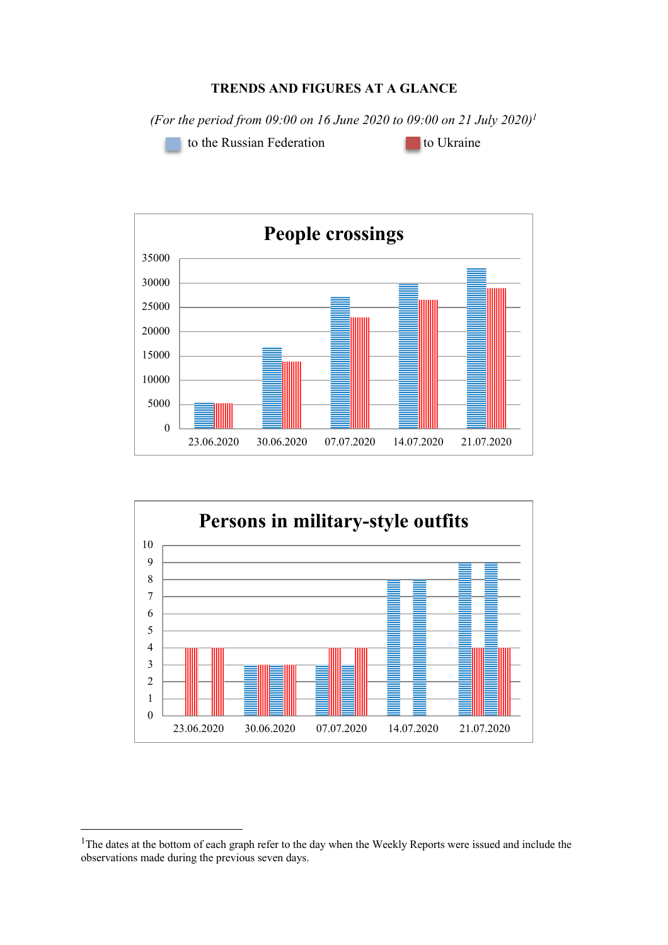## **TRENDS AND FIGURES AT A GLANCE**

*(For the period from 09:00 on 16 June 2020 to 09:00 on 21 July 2020)1*

to the Russian Federation **to Ukraine** 





<sup>&</sup>lt;sup>1</sup>The dates at the bottom of each graph refer to the day when the Weekly Reports were issued and include the observations made during the previous seven days.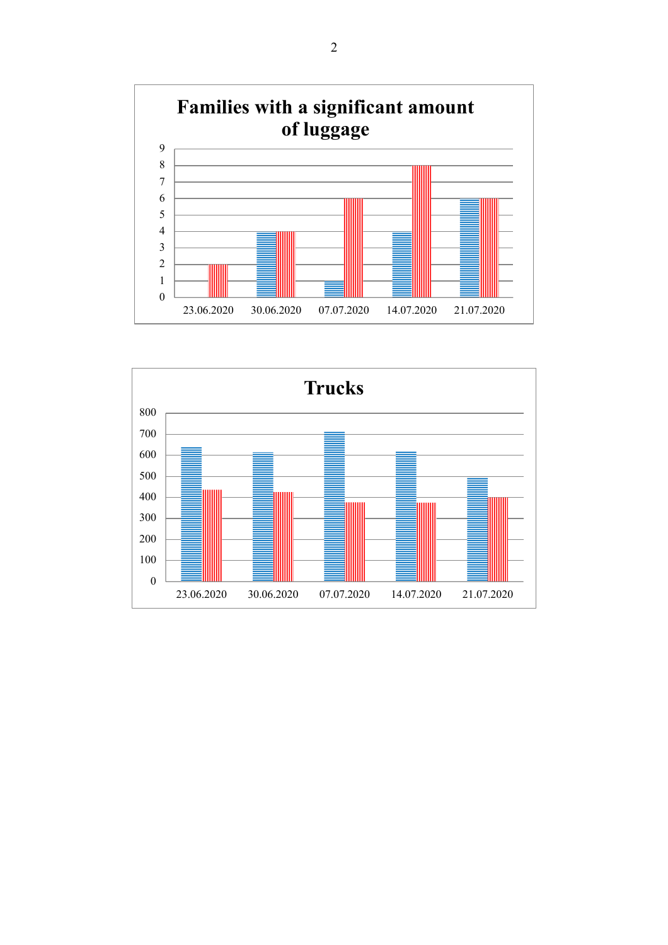

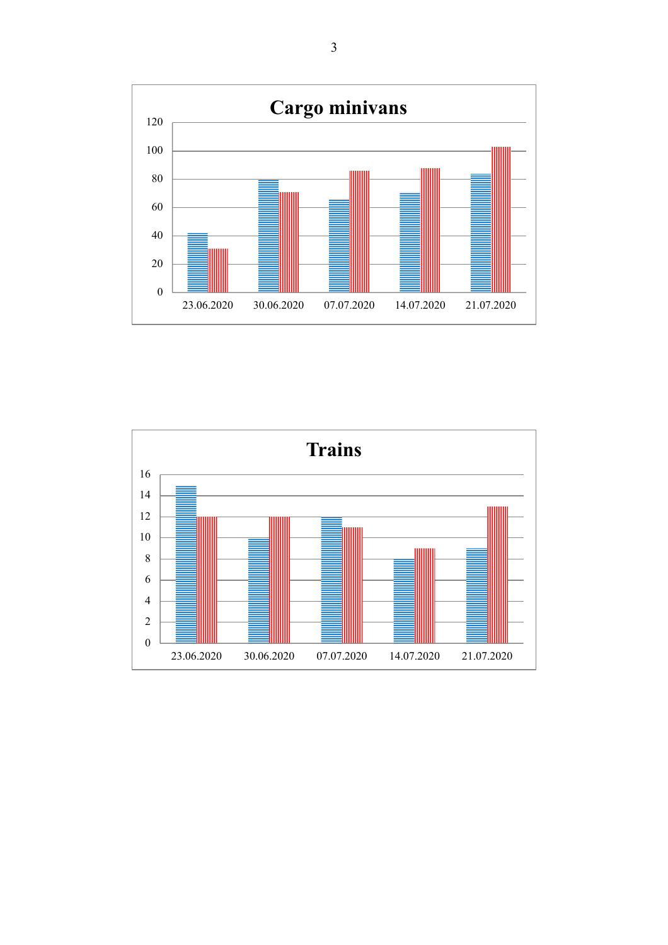